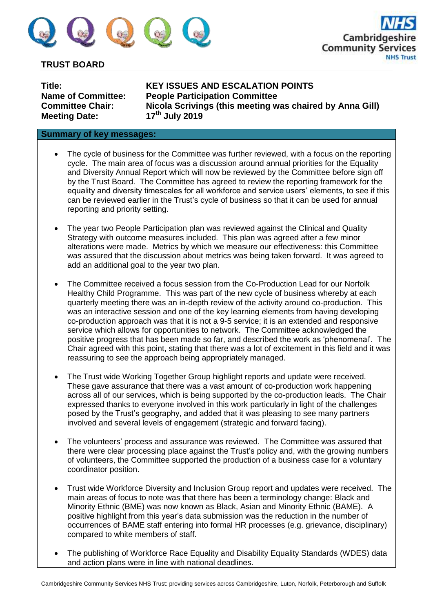

# **TRUST BOARD**

| Title:                    |
|---------------------------|
| <b>Name of Committee:</b> |
| <b>Committee Chair:</b>   |
| <b>Meeting Date:</b>      |

**Title: KEY ISSUES AND ESCALATION POINTS People Participation Committee Nicola Scrivings (this meeting was chaired by Anna Gill) Meeting Date: 17th July 2019**

## **Summary of key messages:**

- The cycle of business for the Committee was further reviewed, with a focus on the reporting cycle. The main area of focus was a discussion around annual priorities for the Equality and Diversity Annual Report which will now be reviewed by the Committee before sign off by the Trust Board. The Committee has agreed to review the reporting framework for the equality and diversity timescales for all workforce and service users' elements, to see if this can be reviewed earlier in the Trust's cycle of business so that it can be used for annual reporting and priority setting.
- The year two People Participation plan was reviewed against the Clinical and Quality Strategy with outcome measures included. This plan was agreed after a few minor alterations were made. Metrics by which we measure our effectiveness: this Committee was assured that the discussion about metrics was being taken forward. It was agreed to add an additional goal to the year two plan.
- The Committee received a focus session from the Co-Production Lead for our Norfolk Healthy Child Programme. This was part of the new cycle of business whereby at each quarterly meeting there was an in-depth review of the activity around co-production. This was an interactive session and one of the key learning elements from having developing co-production approach was that it is not a 9-5 service; it is an extended and responsive service which allows for opportunities to network. The Committee acknowledged the positive progress that has been made so far, and described the work as 'phenomenal'. The Chair agreed with this point, stating that there was a lot of excitement in this field and it was reassuring to see the approach being appropriately managed.
- The Trust wide Working Together Group highlight reports and update were received. These gave assurance that there was a vast amount of co-production work happening across all of our services, which is being supported by the co-production leads. The Chair expressed thanks to everyone involved in this work particularly in light of the challenges posed by the Trust's geography, and added that it was pleasing to see many partners involved and several levels of engagement (strategic and forward facing).
- The volunteers' process and assurance was reviewed. The Committee was assured that there were clear processing place against the Trust's policy and, with the growing numbers of volunteers, the Committee supported the production of a business case for a voluntary coordinator position.
- Trust wide Workforce Diversity and Inclusion Group report and updates were received. The main areas of focus to note was that there has been a terminology change: Black and Minority Ethnic (BME) was now known as Black, Asian and Minority Ethnic (BAME). A positive highlight from this year's data submission was the reduction in the number of occurrences of BAME staff entering into formal HR processes (e.g. grievance, disciplinary) compared to white members of staff.
- The publishing of Workforce Race Equality and Disability Equality Standards (WDES) data and action plans were in line with national deadlines.